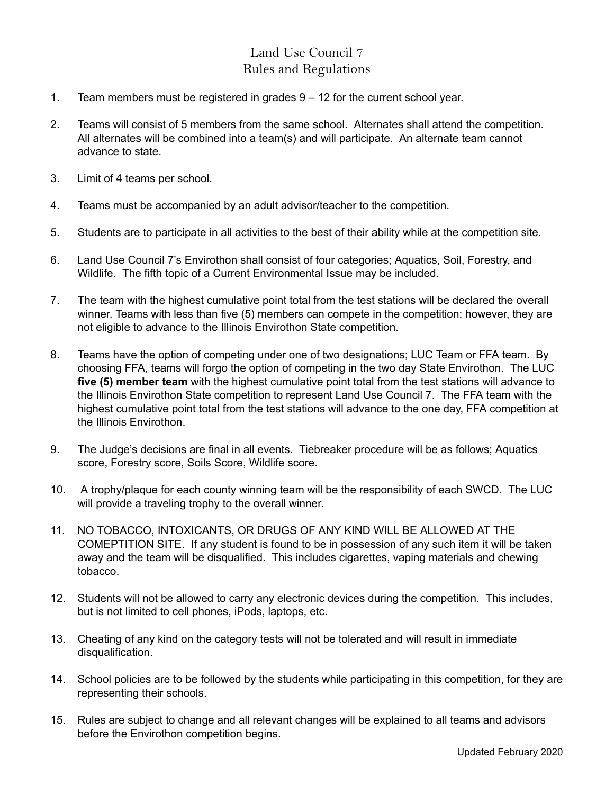## Land Use Council 7 Rules and Regulations

- 1. Team members must be registered in grades 9 12 for the current school year.
- 2. Teams will consist of 5 members from the same school. Alternates shall attend the competition. All alternates will be combined into a team(s) and will participate. An alternate team cannot advance to state.
- 3. Limit of 4 teams per school.
- 4. Teams must be accompanied by an adult advisor/teacher to the competition.
- 5. Students are to participate in all activities to the best of their ability while at the competition site.
- 6. Land Use Council 7's Envirothon shall consist of four categories; Aquatics, Soil, Forestry, and Wildlife. The fifth topic of a Current Environmental Issue may be included.
- 7. The team with the highest cumulative point total from the test stations will be declared the overall winner. Teams with less than five (5) members can compete in the competition; however, they are not eligible to advance to the Illinois Envirothon State competition.
- 8. Teams have the option of competing under one of two designations; LUC Team or FFA team. By choosing FFA, teams will forgo the option of competing in the two day State Envirothon. The LUC **five (5) member team** with the highest cumulative point total from the test stations will advance to the Illinois Envirothon State competition to represent Land Use Council 7. The FFA team with the highest cumulative point total from the test stations will advance to the one day, FFA competition at the Illinois Envirothon.
- 9. The Judge's decisions are final in all events. Tiebreaker procedure will be as follows; Aquatics score, Forestry score, Soils Score, Wildlife score.
- 10. A trophy/plaque for each county winning team will be the responsibility of each SWCD. The LUC will provide a traveling trophy to the overall winner.
- 11. NO TOBACCO, INTOXICANTS, OR DRUGS OF ANY KIND WILL BE ALLOWED AT THE COMEPTITION SITE. If any student is found to be in possession of any such item it will be taken away and the team will be disqualified. This includes cigarettes, vaping materials and chewing tobacco.
- 12. Students will not be allowed to carry any electronic devices during the competition. This includes, but is not limited to cell phones, iPods, laptops, etc.
- 13. Cheating of any kind on the category tests will not be tolerated and will result in immediate disqualification.
- 14. School policies are to be followed by the students while participating in this competition, for they are representing their schools.
- 15. Rules are subject to change and all relevant changes will be explained to all teams and advisors before the Envirothon competition begins.